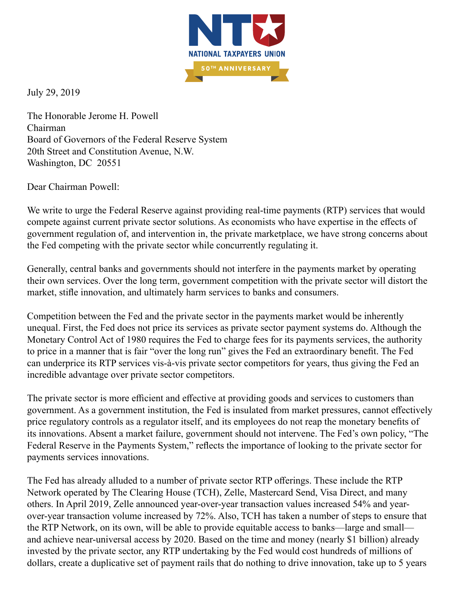

July 29, 2019

The Honorable Jerome H. Powell Chairman Board of Governors of the Federal Reserve System 20th Street and Constitution Avenue, N.W. Washington, DC 20551

Dear Chairman Powell:

We write to urge the Federal Reserve against providing real-time payments (RTP) services that would compete against current private sector solutions. As economists who have expertise in the effects of government regulation of, and intervention in, the private marketplace, we have strong concerns about the Fed competing with the private sector while concurrently regulating it.

Generally, central banks and governments should not interfere in the payments market by operating their own services. Over the long term, government competition with the private sector will distort the market, stifle innovation, and ultimately harm services to banks and consumers.

Competition between the Fed and the private sector in the payments market would be inherently unequal. First, the Fed does not price its services as private sector payment systems do. Although the Monetary Control Act of 1980 requires the Fed to charge fees for its payments services, the authority to price in a manner that is fair "over the long run" gives the Fed an extraordinary benefit. The Fed can underprice its RTP services vis-à-vis private sector competitors for years, thus giving the Fed an incredible advantage over private sector competitors.

The private sector is more efficient and effective at providing goods and services to customers than government. As a government institution, the Fed is insulated from market pressures, cannot effectively price regulatory controls as a regulator itself, and its employees do not reap the monetary benefits of its innovations. Absent a market failure, government should not intervene. The Fed's own policy, "The Federal Reserve in the Payments System," reflects the importance of looking to the private sector for payments services innovations.

The Fed has already alluded to a number of private sector RTP offerings. These include the RTP Network operated by The Clearing House (TCH), Zelle, Mastercard Send, Visa Direct, and many others. In April 2019, Zelle announced year-over-year transaction values increased 54% and yearover-year transaction volume increased by 72%. Also, TCH has taken a number of steps to ensure that the RTP Network, on its own, will be able to provide equitable access to banks—large and small and achieve near-universal access by 2020. Based on the time and money (nearly \$1 billion) already invested by the private sector, any RTP undertaking by the Fed would cost hundreds of millions of dollars, create a duplicative set of payment rails that do nothing to drive innovation, take up to 5 years